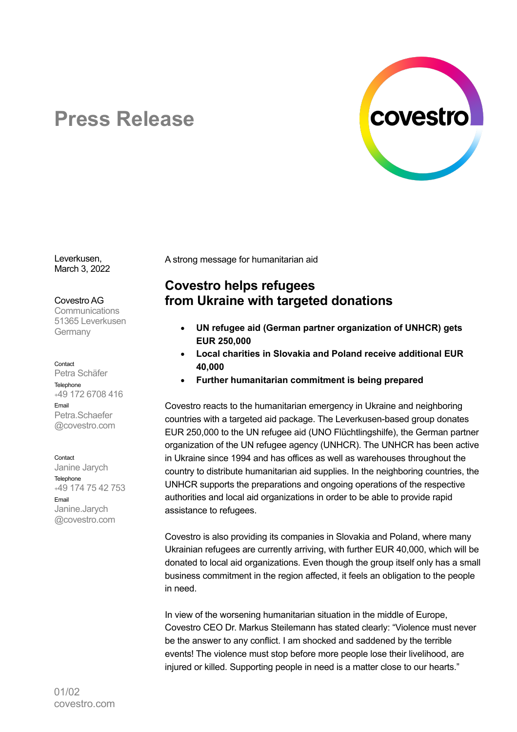

# **Press Release**

Leverkusen, March 3, 2022

Covestro AG

**Communications** 51365 Leverkusen Germany

### Contact

Petra Schäfer **Telephone** +49 172 6708 416 Email Petra.Schaefer @covestro.com

**Contact** 

Janine Jarych Telephone +49 174 75 42 753 Email Janine.Jarych @covestro.com

A strong message for humanitarian aid

## **Covestro helps refugees from Ukraine with targeted donations**

- **UN refugee aid (German partner organization of UNHCR) gets EUR 250,000**
- **Local charities in Slovakia and Poland receive additional EUR 40,000**
- **Further humanitarian commitment is being prepared**

Covestro reacts to the humanitarian emergency in Ukraine and neighboring countries with a targeted aid package. The Leverkusen-based group donates EUR 250,000 to the UN refugee aid (UNO Flüchtlingshilfe), the German partner organization of the UN refugee agency (UNHCR). The UNHCR has been active in Ukraine since 1994 and has offices as well as warehouses throughout the country to distribute humanitarian aid supplies. In the neighboring countries, the UNHCR supports the preparations and ongoing operations of the respective authorities and local aid organizations in order to be able to provide rapid assistance to refugees.

Covestro is also providing its companies in Slovakia and Poland, where many Ukrainian refugees are currently arriving, with further EUR 40,000, which will be donated to local aid organizations. Even though the group itself only has a small business commitment in the region affected, it feels an obligation to the people in need.

In view of the worsening humanitarian situation in the middle of Europe, Covestro CEO Dr. Markus Steilemann has stated clearly: "Violence must never be the answer to any conflict. I am shocked and saddened by the terrible events! The violence must stop before more people lose their livelihood, are injured or killed. Supporting people in need is a matter close to our hearts."